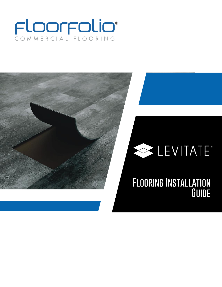# COMMERCIAL FLOORING

## LEVITATE®

### **Flooring Installation Guide**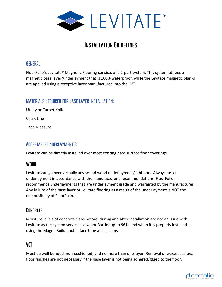

#### **Installation Guidelines**

#### **GENERAL**

FloorFolio's Levitate® Magnetic Flooring consists of a 2-part system. This system utilizes a magnetic base layer/underlayment that is 100% waterproof, while the Levitate magnetic planks are applied using a receptive layer manufactured into the LVT.

#### **Materials Required for Base Layer Installation:**

Utility or Carpet Knife Chalk Line

Tape Measure

#### **Acceptable Underlayment's**

Levitate can be directly installed over most existing hard surface floor coverings:

#### **Wood**

Levitate can go over virtually any sound wood underlayment/subfloors. Always fasten underlayment in accordance with the manufacturer's recommendations. FloorFolio recommends underlayments that are underlayment grade and warranted by the manufacturer. Any failure of the base layer or Levitate flooring as a result of the underlayment is NOT the responsibility of FloorFolio.

#### **Concrete**

Moisture levels of concrete slabs before, during and after installation are not an issue with Levitate as the system serves as a vapor Barrier up to 96% and when it is properly installed using the Magna Build double face tape at all seams.

#### **VCT**

Must be well bonded, non-cushioned, and no more than one layer. Removal of waxes, sealers, floor finishes are not necessary if the base layer is not being adhered/glued to the floor.

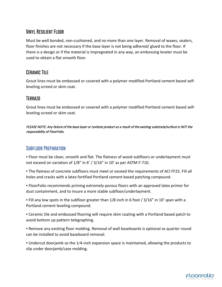#### **Vinyl Resilient Floor**

Must be well bonded, non-cushioned, and no more than one layer. Removal of waxes, sealers, floor finishes are not necessary if the base layer is not being adhered/ glued to the floor. If there is a design or if the material is impregnated in any way, an embossing leveler must be used to obtain a flat smooth floor.

#### **Ceramic Tile**

Grout lines must be embossed or covered with a polymer modified Portland cement based selfleveling screed or skim coat.

#### **Terrazo**

Grout lines must be embossed or covered with a polymer modified Portland cement based selfleveling screed or skim coat.

PLEASE NOTE: Any failure of the base layer or Levitate product as a result of the existing substrate/surface is NOT the responsibility of FloorFolio.

#### **Subfloor Preparation**

▪ Floor must be clean, smooth and flat. The flatness of wood subfloors or underlayment must not exceed on variation of 1/8" in 6' / 3/16" in 10' as per ASTM F-710.

▪ The flatness of concrete subfloors must meet or exceed the requirements of ACI FF25. Fill all holes and cracks with a latex fortified Portland cement based patching compound.

▪ FloorFolio recommends priming extremely porous floors with an approved latex primer for dust containment, and to insure a more stable subfloor/underlayment.

▪ Fill any low spots in the subfloor greater than 1/8 inch in 6 foot / 3/16" in 10' span with a Portland cement leveling compound.

▪ Ceramic tile and embossed flooring will require skim coating with a Portland based patch to avoid bottom up pattern telegraphing.

▪ Remove any existing floor molding. Removal of wall baseboards is optional as quarter round can be installed to avoid baseboard removal.

▪ Undercut doorjamb so the 1⁄4-inch expansion space is maintained, allowing the products to slip under doorjamb/case molding.

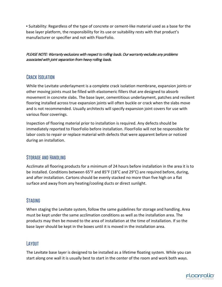▪ Suitability: Regardless of the type of concrete or cement-like material used as a base for the base layer platform, the responsibility for its use or suitability rests with that product's manufacturer or specifier and not with FloorFolio.

PLEASE NOTE: Warranty exclusions with respect to rolling loads. Our warranty excludes any problems associated with joint separation from heavy rolling loads.

#### **Crack Isolation**

While the Levitate underlayment is a complete crack isolation membrane, expansion joints or other moving joints must be filled with elastomeric fillers that are designed to absorb movement in concrete slabs. The base layer, cementitious underlayment, patches and resilient flooring installed across true expansion joints will often buckle or crack when the slabs move and is not recommended. Usually architects will specify expansion joint covers for use with various floor coverings.

Inspection of flooring material prior to installation is required. Any defects should be immediately reported to FloorFolio before installation. FloorFolio will not be responsible for labor costs to repair or replace material with defects that were apparent before or noticed during an installation.

#### **Storage and Handling**

Acclimate all flooring products for a minimum of 24 hours before installation in the area it is to be installed. Conditions between 65°F and 85°F (18°C and 29°C) are required before, during, and after installation. Cartons should be evenly stacked no more than five high on a flat surface and away from any heating/cooling ducts or direct sunlight.

#### **Staging**

When staging the Levitate system, follow the same guidelines for storage and handling. Area must be kept under the same acclimation conditions as well as the installation area. The products may then be moved to the area of installation at the time of installation. If so the base layer should be kept in the boxes until it is moved in the installation area.

#### **Layout**

The Levitate base layer is designed to be installed as a lifetime floating system. While you can start along one wall it is usually best to start in the center of the room and work both ways.